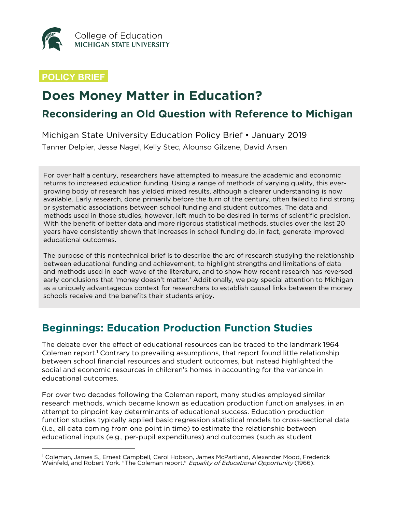

#### **POLICY BRIEF**

 $\overline{a}$ 

# **Does Money Matter in Education?**

### **Reconsidering an Old Question with Reference to Michigan**

Michigan State University Education Policy Brief • January 2019 Tanner Delpier, Jesse Nagel, Kelly Stec, Alounso Gilzene, David Arsen

For over half a century, researchers have attempted to measure the academic and economic returns to increased education funding. Using a range of methods of varying quality, this evergrowing body of research has yielded mixed results, although a clearer understanding is now available. Early research, done primarily before the turn of the century, often failed to find strong or systematic associations between school funding and student outcomes. The data and methods used in those studies, however, left much to be desired in terms of scientific precision. With the benefit of better data and more rigorous statistical methods, studies over the last 20 years have consistently shown that increases in school funding do, in fact, generate improved educational outcomes.

The purpose of this nontechnical brief is to describe the arc of research studying the relationship between educational funding and achievement, to highlight strengths and limitations of data and methods used in each wave of the literature, and to show how recent research has reversed early conclusions that 'money doesn't matter.' Additionally, we pay special attention to Michigan as a uniquely advantageous context for researchers to establish causal links between the money schools receive and the benefits their students enjoy.

## **Beginnings: Education Production Function Studies**

The debate over the effect of educational resources can be traced to the landmark 1964 Coleman report.<sup>1</sup> Contrary to prevailing assumptions, that report found little relationship between school financial resources and student outcomes, but instead highlighted the social and economic resources in children's homes in accounting for the variance in educational outcomes.

For over two decades following the Coleman report, many studies employed similar research methods, which became known as education production function analyses, in an attempt to pinpoint key determinants of educational success. Education production function studies typically applied basic regression statistical models to cross-sectional data (i.e., all data coming from one point in time) to estimate the relationship between educational inputs (e.g., per-pupil expenditures) and outcomes (such as student

<sup>&</sup>lt;sup>1</sup> Coleman, James S., Ernest Campbell, Carol Hobson, James McPartland, Alexander Mood, Frederick Weinfeld, and Robert York. "The Coleman report." Equality of Educational Opportunity (1966).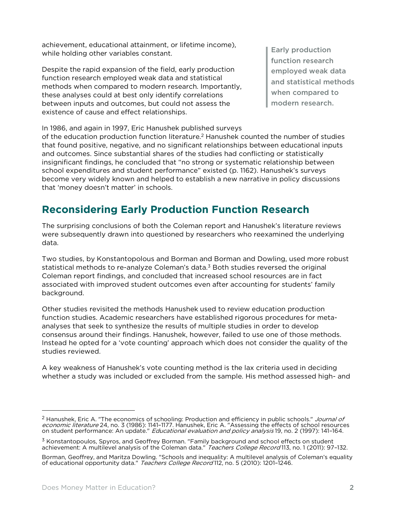achievement, educational attainment, or lifetime income), while holding other variables constant.

Despite the rapid expansion of the field, early production function research employed weak data and statistical methods when compared to modern research. Importantly, these analyses could at best only identify correlations between inputs and outcomes, but could not assess the existence of cause and effect relationships.

Early production function research employed weak data and statistical methods when compared to modern research.

In 1986, and again in 1997, Eric Hanushek published surveys of the education production function literature.2 Hanushek counted the number of studies that found positive, negative, and no significant relationships between educational inputs and outcomes. Since substantial shares of the studies had conflicting or statistically insignificant findings, he concluded that "no strong or systematic relationship between school expenditures and student performance" existed (p. 1162). Hanushek's surveys become very widely known and helped to establish a new narrative in policy discussions that 'money doesn't matter' in schools.

## **Reconsidering Early Production Function Research**

The surprising conclusions of both the Coleman report and Hanushek's literature reviews were subsequently drawn into questioned by researchers who reexamined the underlying data.

Two studies, by Konstantopolous and Borman and Borman and Dowling, used more robust statistical methods to re-analyze Coleman's data. $3$  Both studies reversed the original Coleman report findings, and concluded that increased school resources are in fact associated with improved student outcomes even after accounting for students' family background.

Other studies revisited the methods Hanushek used to review education production function studies. Academic researchers have established rigorous procedures for metaanalyses that seek to synthesize the results of multiple studies in order to develop consensus around their findings. Hanushek, however, failed to use one of those methods. Instead he opted for a 'vote counting' approach which does not consider the quality of the studies reviewed.

A key weakness of Hanushek's vote counting method is the lax criteria used in deciding whether a study was included or excluded from the sample. His method assessed high- and

<sup>&</sup>lt;sup>2</sup> Hanushek, Eric A. "The economics of schooling: Production and efficiency in public schools." Journal of economic literature 24, no. 3 (1986): 1141-1177. Hanushek, Eric A. "Assessing the effects of school resources on student performance: An update." Educational evaluation and policy analysis 19, no. 2 (1997): 141–164.

<sup>&</sup>lt;sup>3</sup> Konstantopoulos, Spyros, and Geoffrey Borman. "Family background and school effects on student achievement: A multilevel analysis of the Coleman data." Teachers College Record 113, no. 1 (2011): 97-132.

Borman, Geoffrey, and Maritza Dowling. "Schools and inequality: A multilevel analysis of Coleman's equality of educational opportunity data." Teachers College Record 112, no. 5 (2010): 1201–1246.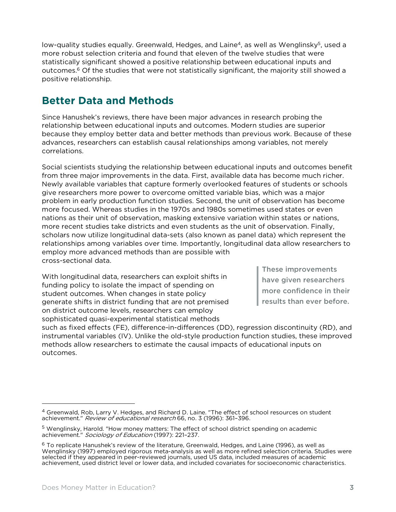low-quality studies equally. Greenwald, Hedges, and Laine<sup>4</sup>, as well as Wenglinsky<sup>5</sup>, used a more robust selection criteria and found that eleven of the twelve studies that were statistically significant showed a positive relationship between educational inputs and outcomes.<sup>6</sup> Of the studies that were not statistically significant, the majority still showed a positive relationship.

## **Better Data and Methods**

Since Hanushek's reviews, there have been major advances in research probing the relationship between educational inputs and outcomes. Modern studies are superior because they employ better data and better methods than previous work. Because of these advances, researchers can establish causal relationships among variables, not merely correlations.

Social scientists studying the relationship between educational inputs and outcomes benefit from three major improvements in the data. First, available data has become much richer. Newly available variables that capture formerly overlooked features of students or schools give researchers more power to overcome omitted variable bias, which was a major problem in early production function studies. Second, the unit of observation has become more focused. Whereas studies in the 1970s and 1980s sometimes used states or even nations as their unit of observation, masking extensive variation within states or nations, more recent studies take districts and even students as the unit of observation. Finally, scholars now utilize longitudinal data-sets (also known as panel data) which represent the relationships among variables over time. Importantly, longitudinal data allow researchers to employ more advanced methods than are possible with cross-sectional data.

With longitudinal data, researchers can exploit shifts in funding policy to isolate the impact of spending on student outcomes. When changes in state policy generate shifts in district funding that are not premised on district outcome levels, researchers can employ sophisticated quasi-experimental statistical methods

These improvements have given researchers more confidence in their results than ever before.

such as fixed effects (FE), difference-in-differences (DD), regression discontinuity (RD), and instrumental variables (IV). Unlike the old-style production function studies, these improved methods allow researchers to estimate the causal impacts of educational inputs on outcomes.

<sup>&</sup>lt;sup>4</sup> Greenwald, Rob, Larry V. Hedges, and Richard D. Laine. "The effect of school resources on student achievement." Review of educational research 66, no. 3 (1996): 361–396.

<sup>&</sup>lt;sup>5</sup> Wenglinsky, Harold. "How money matters: The effect of school district spending on academic achievement." Sociology of Education (1997): 221-237.

 $^6$  To replicate Hanushek's review of the literature, Greenwald, Hedges, and Laine (1996), as well as Wenglinsky (1997) employed rigorous meta-analysis as well as more refined selection criteria. Studies were selected if they appeared in peer-reviewed journals, used US data, included measures of academic achievement, used district level or lower data, and included covariates for socioeconomic characteristics.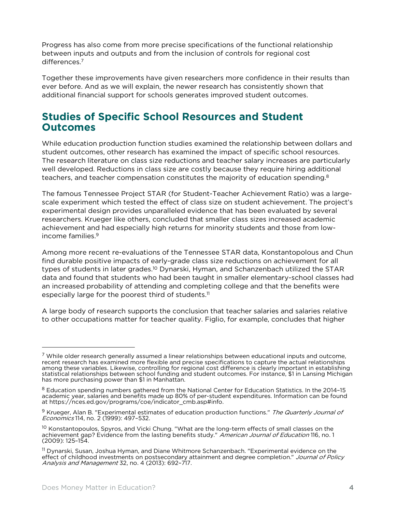Progress has also come from more precise specifications of the functional relationship between inputs and outputs and from the inclusion of controls for regional cost differences.7

Together these improvements have given researchers more confidence in their results than ever before. And as we will explain, the newer research has consistently shown that additional financial support for schools generates improved student outcomes.

#### **Studies of Specific School Resources and Student Outcomes**

While education production function studies examined the relationship between dollars and student outcomes, other research has examined the impact of specific school resources. The research literature on class size reductions and teacher salary increases are particularly well developed. Reductions in class size are costly because they require hiring additional teachers, and teacher compensation constitutes the majority of education spending.<sup>8</sup>

The famous Tennessee Project STAR (for Student-Teacher Achievement Ratio) was a largescale experiment which tested the effect of class size on student achievement. The project's experimental design provides unparalleled evidence that has been evaluated by several researchers. Krueger like others, concluded that smaller class sizes increased academic achievement and had especially high returns for minority students and those from lowincome families. 9

Among more recent re-evaluations of the Tennessee STAR data, Konstantopolous and Chun find durable positive impacts of early-grade class size reductions on achievement for all types of students in later grades.<sup>10</sup> Dynarski, Hyman, and Schanzenbach utilized the STAR data and found that students who had been taught in smaller elementary-school classes had an increased probability of attending and completing college and that the benefits were especially large for the poorest third of students.<sup>11</sup>

A large body of research supports the conclusion that teacher salaries and salaries relative to other occupations matter for teacher quality. Figlio, for example, concludes that higher

 $7$  While older research generally assumed a linear relationships between educational inputs and outcome, recent research has examined more flexible and precise specifications to capture the actual relationships among these variables. Likewise, controlling for regional cost difference is clearly important in establishing statistical relationships between school funding and student outcomes. For instance, \$1 in Lansing Michigan has more purchasing power than \$1 in Manhattan.

<sup>8</sup> Education spending numbers gathered from the National Center for Education Statistics. In the 2014-15 academic year, salaries and benefits made up 80% of per-student expenditures. Information can be found [at https://nces.ed.gov/programs/coe/indicator\\_cmb.asp#info.](https://nces.ed.gov/programs/coe/indicator_cmb.asp#info)

<sup>&</sup>lt;sup>9</sup> Krueger, Alan B. "Experimental estimates of education production functions." The Quarterly Journal of Economics 114, no. 2 (1999): 497–532.

<sup>&</sup>lt;sup>10</sup> Konstantopoulos, Spyros, and Vicki Chung. "What are the long-term effects of small classes on the achievement gap? Evidence from the lasting benefits study." *American Journal of Education* 116, no. 1 (2009): 125–154.

 $^{\rm 11}$  Dynarski, Susan, Joshua Hyman, and Diane Whitmore Schanzenbach. "Experimental evidence on the effect of childhood investments on postsecondary attainment and degree completion." Journal of Policy Analysis and Management 32, no. 4 (2013): 692–717.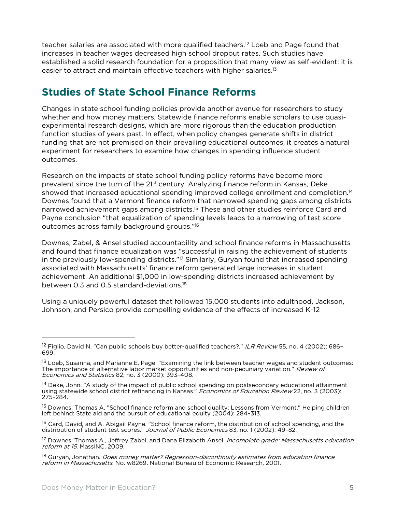teacher salaries are associated with more qualified teachers.12 Loeb and Page found that increases in teacher wages decreased high school dropout rates. Such studies have established a solid research foundation for a proposition that many view as self-evident: it is easier to attract and maintain effective teachers with higher salaries.<sup>13</sup>

## **Studies of State School Finance Reforms**

Changes in state school funding policies provide another avenue for researchers to study whether and how money matters. Statewide finance reforms enable scholars to use quasiexperimental research designs, which are more rigorous than the education production function studies of years past. In effect, when policy changes generate shifts in district funding that are not premised on their prevailing educational outcomes, it creates a natural experiment for researchers to examine how changes in spending influence student outcomes.

Research on the impacts of state school funding policy reforms have become more prevalent since the turn of the 2<sup>1st</sup> century. Analyzing finance reform in Kansas, Deke showed that increased educational spending improved college enrollment and completion.<sup>14</sup> Downes found that a Vermont finance reform that narrowed spending gaps among districts narrowed achievement gaps among districts.<sup>15</sup> These and other studies reinforce Card and Payne conclusion "that equalization of spending levels leads to a narrowing of test score outcomes across family background groups."16

Downes, Zabel, & Ansel studied accountability and school finance reforms in Massachusetts and found that finance equalization was "successful in raising the achievement of students in the previously low-spending districts."<sup>17</sup> Similarly, Guryan found that increased spending associated with Massachusetts' finance reform generated large increases in student achievement. An additional \$1,000 in low-spending districts increased achievement by between 0.3 and 0.5 standard-deviations.<sup>18</sup>

Using a uniquely powerful dataset that followed 15,000 students into adulthood, Jackson, Johnson, and Persico provide compelling evidence of the effects of increased K-12

<sup>18</sup> Guryan, Jonathan. *Does money matter? Regression-discontinuity estimates from education finance* reform in Massachusetts. No. w8269. National Bureau of Economic Research, 2001.

<sup>&</sup>lt;sup>12</sup> Figlio, David N. "Can public schools buy better-qualified teachers?." ILR Review 55, no. 4 (2002): 686-699.

 $^{13}$  Loeb, Susanna, and Marianne E. Page. "Examining the link between teacher wages and student outcomes: The importance of alternative labor market opportunities and non-pecuniary variation." Review of Economics and Statistics 82, no. 3 (2000): 393–408.

<sup>&</sup>lt;sup>14</sup> Deke, John. "A study of the impact of public school spending on postsecondary educational attainment using statewide school district refinancing in Kansas." Economics of Education Review 22, no. 3 (2003): 275–284.

<sup>&</sup>lt;sup>15</sup> Downes, Thomas A. "School finance reform and school quality: Lessons from Vermont." Helping children left behind: State aid and the pursuit of educational equity (2004): 284–313.

<sup>&</sup>lt;sup>16</sup> Card, David, and A. Abigail Payne. "School finance reform, the distribution of school spending, and the distribution of student test scores." Journal of Public Economics 83, no. 1 (2002): 49-82.

<sup>&</sup>lt;sup>17</sup> Downes, Thomas A., Jeffrey Zabel, and Dana Elizabeth Ansel. *Incomplete grade: Massachusetts education* reform at 15. MassINC, 2009.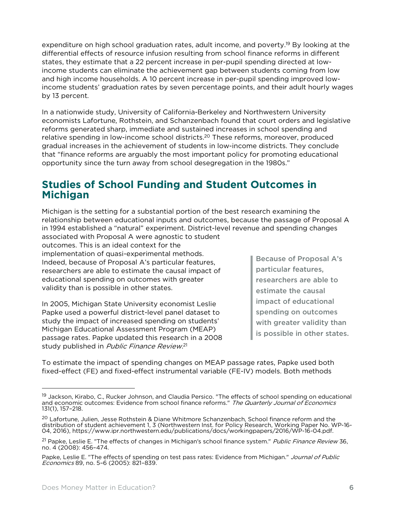expenditure on high school graduation rates, adult income, and poverty.<sup>19</sup> By looking at the differential effects of resource infusion resulting from school finance reforms in different states, they estimate that a 22 percent increase in per-pupil spending directed at lowincome students can eliminate the achievement gap between students coming from low and high income households. A 10 percent increase in per-pupil spending improved lowincome students' graduation rates by seven percentage points, and their adult hourly wages by 13 percent.

In a nationwide study, University of California-Berkeley and Northwestern University economists Lafortune, Rothstein, and Schanzenbach found that court orders and legislative reforms generated sharp, immediate and sustained increases in school spending and relative spending in low-income school districts. <sup>20</sup> These reforms, moreover, produced gradual increases in the achievement of students in low-income districts. They conclude that "finance reforms are arguably the most important policy for promoting educational opportunity since the turn away from school desegregation in the 1980s."

### **Studies of School Funding and Student Outcomes in Michigan**

Michigan is the setting for a substantial portion of the best research examining the relationship between educational inputs and outcomes, because the passage of Proposal A in 1994 established a "natural" experiment. District-level revenue and spending changes associated with Proposal A were agnostic to student

outcomes. This is an ideal context for the implementation of quasi-experimental methods. Indeed, because of Proposal A's particular features, researchers are able to estimate the causal impact of educational spending on outcomes with greater validity than is possible in other states.

In 2005, Michigan State University economist Leslie Papke used a powerful district-level panel dataset to study the impact of increased spending on students' Michigan Educational Assessment Program (MEAP) passage rates. Papke updated this research in a 2008 study published in Public Finance Review.<sup>21</sup>

Because of Proposal A's particular features, researchers are able to estimate the causal impact of educational spending on outcomes with greater validity than is possible in other states.

To estimate the impact of spending changes on MEAP passage rates, Papke used both fixed-effect (FE) and fixed-effect instrumental variable (FE-IV) models. Both methods

<sup>&</sup>lt;sup>19</sup> Jackson, Kirabo, C., Rucker Johnson, and Claudia Persico. "The effects of school spending on educational and economic outcomes: Evidence from school finance reforms." The Quarterly Journal of Economics 131(1), 157–218.

<sup>&</sup>lt;sup>20</sup> Lafortune, Julien, Jesse Rothstein & Diane Whitmore Schanzenbach, School finance reform and the<br>distribution of student achievement 1. 3 (Northwestern Inst. for Policy Research, Working Paper No. WP-16-04, 2016), https://www.ipr.northwestern.edu/publications/docs/working papers/2016/WP-16-04.pdf.

<sup>&</sup>lt;sup>21</sup> Papke, Leslie E. "The effects of changes in Michigan's school finance system." *Public Finance Review* 36, no. 4 (2008): 456–474.

Papke, Leslie E. "The effects of spending on test pass rates: Evidence from Michigan." Journal of Public Economics 89, no. 5–6 (2005): 821–839.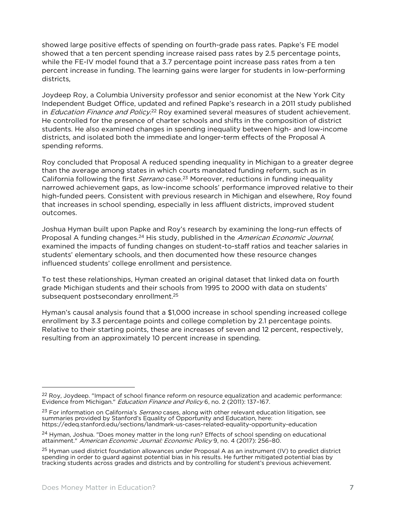showed large positive effects of spending on fourth-grade pass rates. Papke's FE model showed that a ten percent spending increase raised pass rates by 2.5 percentage points, while the FE-IV model found that a 3.7 percentage point increase pass rates from a ten percent increase in funding. The learning gains were larger for students in low-performing districts,

Joydeep Roy, a Columbia University professor and senior economist at the New York City Independent Budget Office, updated and refined Papke's research in a 2011 study published in *Education Finance and Policy.<sup>22</sup>* Roy examined several measures of student achievement. He controlled for the presence of charter schools and shifts in the composition of district students. He also examined changes in spending inequality between high- and low-income districts, and isolated both the immediate and longer-term effects of the Proposal A spending reforms.

Roy concluded that Proposal A reduced spending inequality in Michigan to a greater degree than the average among states in which courts mandated funding reform, such as in California following the first *Serrano* case.<sup>23</sup> Moreover, reductions in funding inequality narrowed achievement gaps, as low-income schools' performance improved relative to their high-funded peers. Consistent with previous research in Michigan and elsewhere, Roy found that increases in school spending, especially in less affluent districts, improved student outcomes.

Joshua Hyman built upon Papke and Roy's research by examining the long-run effects of Proposal A funding changes.<sup>24</sup> His study, published in the *American Economic Journal*, examined the impacts of funding changes on student-to-staff ratios and teacher salaries in students' elementary schools, and then documented how these resource changes influenced students' college enrollment and persistence.

To test these relationships, Hyman created an original dataset that linked data on fourth grade Michigan students and their schools from 1995 to 2000 with data on students' subsequent postsecondary enrollment. 25

Hyman's causal analysis found that a \$1,000 increase in school spending increased college enrollment by 3.3 percentage points and college completion by 2.1 percentage points. Relative to their starting points, these are increases of seven and 12 percent, respectively, resulting from an approximately 10 percent increase in spending.

 $22$  Roy, Joydeep. "Impact of school finance reform on resource equalization and academic performance: Evidence from Michigan." Education Finance and Policy 6, no. 2 (2011): 137–167.

<sup>&</sup>lt;sup>23</sup> For information on California's *Serrano* cases, along with other relevant education litigation, see summaries provided by Stanford's Equality of Opportunity and Education, here: <https://edeq.stanford.edu/sections/landmark-us-cases-related-equality-opportunity-education>

<sup>&</sup>lt;sup>24</sup> Hyman, Joshua. "Does money matter in the long run? Effects of school spending on educational attainment." American Economic Journal: Economic Policy 9, no. 4 (2017): 256–80.

<sup>&</sup>lt;sup>25</sup> Hyman used district foundation allowances under Proposal A as an instrument (IV) to predict district spending in order to guard against potential bias in his results. He further mitigated potential bias by tracking students across grades and districts and by controlling for student's previous achievement.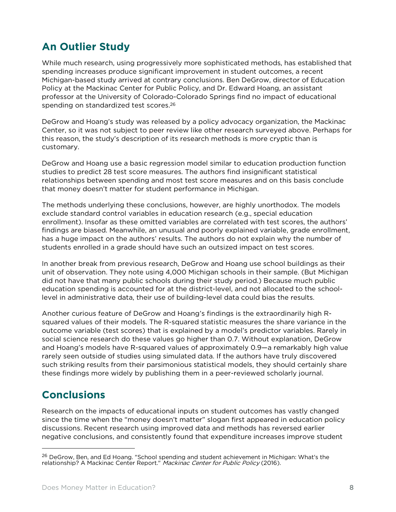## **An Outlier Study**

While much research, using progressively more sophisticated methods, has established that spending increases produce significant improvement in student outcomes, a recent Michigan-based study arrived at contrary conclusions. Ben DeGrow, director of Education Policy at the Mackinac Center for Public Policy, and Dr. Edward Hoang, an assistant professor at the University of Colorado-Colorado Springs find no impact of educational spending on standardized test scores.<sup>26</sup>

DeGrow and Hoang's study was released by a policy advocacy organization, the Mackinac Center, so it was not subject to peer review like other research surveyed above. Perhaps for this reason, the study's description of its research methods is more cryptic than is customary.

DeGrow and Hoang use a basic regression model similar to education production function studies to predict 28 test score measures. The authors find insignificant statistical relationships between spending and most test score measures and on this basis conclude that money doesn't matter for student performance in Michigan.

The methods underlying these conclusions, however, are highly unorthodox. The models exclude standard control variables in education research (e.g., special education enrollment). Insofar as these omitted variables are correlated with test scores, the authors' findings are biased. Meanwhile, an unusual and poorly explained variable, grade enrollment, has a huge impact on the authors' results. The authors do not explain why the number of students enrolled in a grade should have such an outsized impact on test scores.

In another break from previous research, DeGrow and Hoang use school buildings as their unit of observation. They note using 4,000 Michigan schools in their sample. (But Michigan did not have that many public schools during their study period.) Because much public education spending is accounted for at the district-level, and not allocated to the schoollevel in administrative data, their use of building-level data could bias the results.

Another curious feature of DeGrow and Hoang's findings is the extraordinarily high Rsquared values of their models. The R-squared statistic measures the share variance in the outcome variable (test scores) that is explained by a model's predictor variables. Rarely in social science research do these values go higher than 0.7. Without explanation, DeGrow and Hoang's models have R-squared values of approximately 0.9—a remarkably high value rarely seen outside of studies using simulated data. If the authors have truly discovered such striking results from their parsimonious statistical models, they should certainly share these findings more widely by publishing them in a peer-reviewed scholarly journal.

## **Conclusions**

 $\overline{a}$ 

Research on the impacts of educational inputs on student outcomes has vastly changed since the time when the "money doesn't matter" slogan first appeared in education policy discussions. Recent research using improved data and methods has reversed earlier negative conclusions, and consistently found that expenditure increases improve student

<sup>&</sup>lt;sup>26</sup> DeGrow, Ben, and Ed Hoang. "School spending and student achievement in Michigan: What's the relationship? A Mackinac Center Report." Mackinac Center for Public Policy (2016).